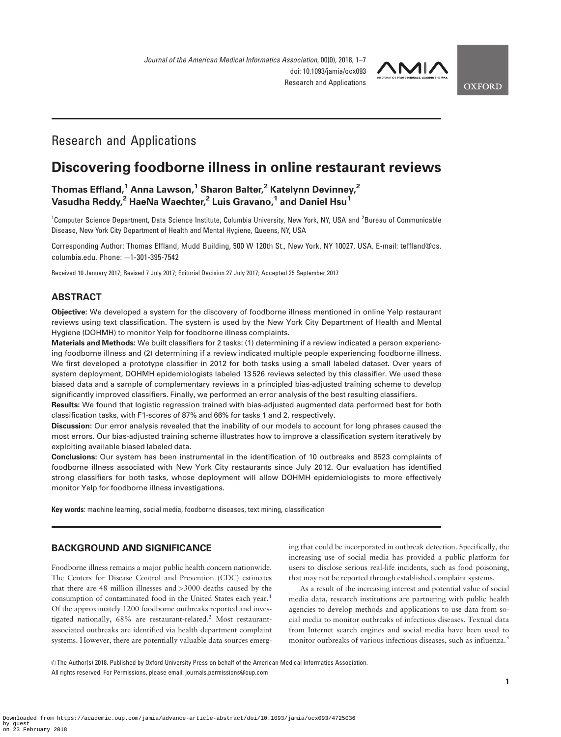

# Research and Applications

# Discovering foodborne illness in online restaurant reviews

Thomas Effland,<sup>1</sup> Anna Lawson,<sup>1</sup> Sharon Balter,<sup>2</sup> Katelynn Devinney,<sup>2</sup> Vasudha Reddy,<sup>2</sup> HaeNa Waechter,<sup>2</sup> Luis Gravano,<sup>1</sup> and Daniel Hsu<sup>1</sup>

<sup>1</sup>Computer Science Department, Data Science Institute, Columbia University, New York, NY, USA and <sup>2</sup>Bureau of Communicable Disease, New York City Department of Health and Mental Hygiene, Queens, NY, USA

Corresponding Author: Thomas Effland, Mudd Building, 500 W 120th St., New York, NY 10027, USA. E-mail: teffland@cs. columbia.edu. Phone:  $+1-301-395-7542$ 

Received 10 January 2017; Revised 7 July 2017; Editorial Decision 27 July 2017; Accepted 25 September 2017

# ABSTRACT

Objective: We developed a system for the discovery of foodborne illness mentioned in online Yelp restaurant reviews using text classification. The system is used by the New York City Department of Health and Mental Hygiene (DOHMH) to monitor Yelp for foodborne illness complaints.

Materials and Methods: We built classifiers for 2 tasks: (1) determining if a review indicated a person experiencing foodborne illness and (2) determining if a review indicated multiple people experiencing foodborne illness. We first developed a prototype classifier in 2012 for both tasks using a small labeled dataset. Over years of system deployment, DOHMH epidemiologists labeled 13 526 reviews selected by this classifier. We used these biased data and a sample of complementary reviews in a principled bias-adjusted training scheme to develop significantly improved classifiers. Finally, we performed an error analysis of the best resulting classifiers.

Results: We found that logistic regression trained with bias-adjusted augmented data performed best for both classification tasks, with F1-scores of 87% and 66% for tasks 1 and 2, respectively.

Discussion: Our error analysis revealed that the inability of our models to account for long phrases caused the most errors. Our bias-adjusted training scheme illustrates how to improve a classification system iteratively by exploiting available biased labeled data.

Conclusions: Our system has been instrumental in the identification of 10 outbreaks and 8523 complaints of foodborne illness associated with New York City restaurants since July 2012. Our evaluation has identified strong classifiers for both tasks, whose deployment will allow DOHMH epidemiologists to more effectively monitor Yelp for foodborne illness investigations.

Key words: machine learning, social media, foodborne diseases, text mining, classification

# BACKGROUND AND SIGNIFICANCE

Foodborne illness remains a major public health concern nationwide. The Centers for Disease Control and Prevention (CDC) estimates that there are 48 million illnesses and >3000 deaths caused by the consumption of contaminated food in the United States each year.<sup>1</sup> Of the approximately 1200 foodborne outbreaks reported and investigated nationally, 68% are restaurant-related.<sup>2</sup> Most restaurantassociated outbreaks are identified via health department complaint systems. However, there are potentially valuable data sources emerg-

ing that could be incorporated in outbreak detection. Specifically, the increasing use of social media has provided a public platform for users to disclose serious real-life incidents, such as food poisoning, that may not be reported through established complaint systems.

As a result of the increasing interest and potential value of social media data, research institutions are partnering with public health agencies to develop methods and applications to use data from social media to monitor outbreaks of infectious diseases. Textual data from Internet search engines and social media have been used to monitor outbreaks of various infectious diseases, such as influenza.<sup>[3](#page-6-0)</sup>

V<sup>C</sup> The Author(s) 2018. Published by Oxford University Press on behalf of the American Medical Informatics Association. All rights reserved. For Permissions, please email: journals.permissions@oup.com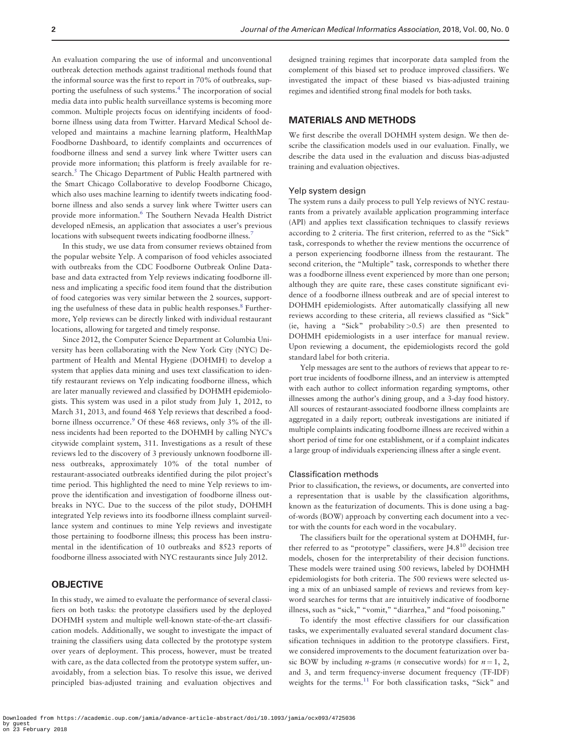An evaluation comparing the use of informal and unconventional outbreak detection methods against traditional methods found that the informal source was the first to report in 70% of outbreaks, supporting the usefulness of such systems[.4](#page-6-0) The incorporation of social media data into public health surveillance systems is becoming more common. Multiple projects focus on identifying incidents of foodborne illness using data from Twitter. Harvard Medical School developed and maintains a machine learning platform, HealthMap Foodborne Dashboard, to identify complaints and occurrences of foodborne illness and send a survey link where Twitter users can provide more information; this platform is freely available for re-search.<sup>[5](#page-6-0)</sup> The Chicago Department of Public Health partnered with the Smart Chicago Collaborative to develop Foodborne Chicago, which also uses machine learning to identify tweets indicating foodborne illness and also sends a survey link where Twitter users can provide more information[.6](#page-6-0) The Southern Nevada Health District developed nEmesis, an application that associates a user's previous locations with subsequent tweets indicating foodborne illness.<sup>[7](#page-6-0)</sup>

In this study, we use data from consumer reviews obtained from the popular website Yelp. A comparison of food vehicles associated with outbreaks from the CDC Foodborne Outbreak Online Database and data extracted from Yelp reviews indicating foodborne illness and implicating a specific food item found that the distribution of food categories was very similar between the 2 sources, supporting the usefulness of these data in public health responses. $8$  Furthermore, Yelp reviews can be directly linked with individual restaurant locations, allowing for targeted and timely response.

Since 2012, the Computer Science Department at Columbia University has been collaborating with the New York City (NYC) Department of Health and Mental Hygiene (DOHMH) to develop a system that applies data mining and uses text classification to identify restaurant reviews on Yelp indicating foodborne illness, which are later manually reviewed and classified by DOHMH epidemiologists. This system was used in a pilot study from July 1, 2012, to March 31, 2013, and found 468 Yelp reviews that described a food-borne illness occurrence.<sup>[9](#page-6-0)</sup> Of these 468 reviews, only 3% of the illness incidents had been reported to the DOHMH by calling NYC's citywide complaint system, 311. Investigations as a result of these reviews led to the discovery of 3 previously unknown foodborne illness outbreaks, approximately 10% of the total number of restaurant-associated outbreaks identified during the pilot project's time period. This highlighted the need to mine Yelp reviews to improve the identification and investigation of foodborne illness outbreaks in NYC. Due to the success of the pilot study, DOHMH integrated Yelp reviews into its foodborne illness complaint surveillance system and continues to mine Yelp reviews and investigate those pertaining to foodborne illness; this process has been instrumental in the identification of 10 outbreaks and 8523 reports of foodborne illness associated with NYC restaurants since July 2012.

# **OBJECTIVE**

In this study, we aimed to evaluate the performance of several classifiers on both tasks: the prototype classifiers used by the deployed DOHMH system and multiple well-known state-of-the-art classification models. Additionally, we sought to investigate the impact of training the classifiers using data collected by the prototype system over years of deployment. This process, however, must be treated with care, as the data collected from the prototype system suffer, unavoidably, from a selection bias. To resolve this issue, we derived principled bias-adjusted training and evaluation objectives and

designed training regimes that incorporate data sampled from the complement of this biased set to produce improved classifiers. We investigated the impact of these biased vs bias-adjusted training regimes and identified strong final models for both tasks.

## MATERIALS AND METHODS

We first describe the overall DOHMH system design. We then describe the classification models used in our evaluation. Finally, we describe the data used in the evaluation and discuss bias-adjusted training and evaluation objectives.

#### Yelp system design

The system runs a daily process to pull Yelp reviews of NYC restaurants from a privately available application programming interface (API) and applies text classification techniques to classify reviews according to 2 criteria. The first criterion, referred to as the "Sick" task, corresponds to whether the review mentions the occurrence of a person experiencing foodborne illness from the restaurant. The second criterion, the "Multiple" task, corresponds to whether there was a foodborne illness event experienced by more than one person; although they are quite rare, these cases constitute significant evidence of a foodborne illness outbreak and are of special interest to DOHMH epidemiologists. After automatically classifying all new reviews according to these criteria, all reviews classified as "Sick" (ie, having a "Sick" probability  $> 0.5$ ) are then presented to DOHMH epidemiologists in a user interface for manual review. Upon reviewing a document, the epidemiologists record the gold standard label for both criteria.

Yelp messages are sent to the authors of reviews that appear to report true incidents of foodborne illness, and an interview is attempted with each author to collect information regarding symptoms, other illnesses among the author's dining group, and a 3-day food history. All sources of restaurant-associated foodborne illness complaints are aggregated in a daily report; outbreak investigations are initiated if multiple complaints indicating foodborne illness are received within a short period of time for one establishment, or if a complaint indicates a large group of individuals experiencing illness after a single event.

## Classification methods

Prior to classification, the reviews, or documents, are converted into a representation that is usable by the classification algorithms, known as the featurization of documents. This is done using a bagof-words (BOW) approach by converting each document into a vector with the counts for each word in the vocabulary.

The classifiers built for the operational system at DOHMH, further referred to as "prototype" classifiers, were J4.8<sup>10</sup> decision tree models, chosen for the interpretability of their decision functions. These models were trained using 500 reviews, labeled by DOHMH epidemiologists for both criteria. The 500 reviews were selected using a mix of an unbiased sample of reviews and reviews from keyword searches for terms that are intuitively indicative of foodborne illness, such as "sick," "vomit," "diarrhea," and "food poisoning."

To identify the most effective classifiers for our classification tasks, we experimentally evaluated several standard document classification techniques in addition to the prototype classifiers. First, we considered improvements to the document featurization over basic BOW by including *n*-grams (*n* consecutive words) for  $n = 1, 2,$ and 3, and term frequency-inverse document frequency (TF-IDF) weights for the terms.<sup>11</sup> For both classification tasks, "Sick" and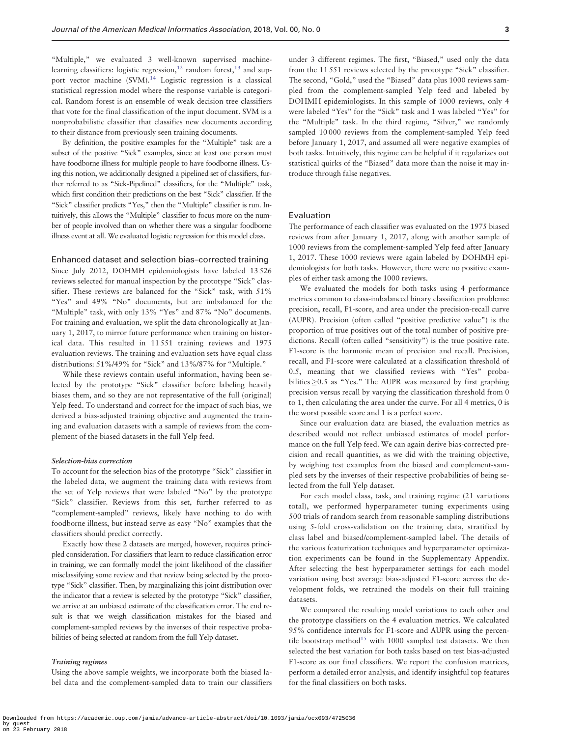"Multiple," we evaluated 3 well-known supervised machine-learning classifiers: logistic regression,<sup>[12](#page-6-0)</sup> random forest,<sup>[13](#page-6-0)</sup> and support vector machine (SVM).<sup>14</sup> Logistic regression is a classical statistical regression model where the response variable is categorical. Random forest is an ensemble of weak decision tree classifiers that vote for the final classification of the input document. SVM is a nonprobabilistic classifier that classifies new documents according to their distance from previously seen training documents.

By definition, the positive examples for the "Multiple" task are a subset of the positive "Sick" examples, since at least one person must have foodborne illness for multiple people to have foodborne illness. Using this notion, we additionally designed a pipelined set of classifiers, further referred to as "Sick-Pipelined" classifiers, for the "Multiple" task, which first condition their predictions on the best "Sick" classifier. If the "Sick" classifier predicts "Yes," then the "Multiple" classifier is run. Intuitively, this allows the "Multiple" classifier to focus more on the number of people involved than on whether there was a singular foodborne illness event at all. We evaluated logistic regression for this model class.

#### Enhanced dataset and selection bias–corrected training

Since July 2012, DOHMH epidemiologists have labeled 13 526 reviews selected for manual inspection by the prototype "Sick" classifier. These reviews are balanced for the "Sick" task, with 51% "Yes" and 49% "No" documents, but are imbalanced for the "Multiple" task, with only 13% "Yes" and 87% "No" documents. For training and evaluation, we split the data chronologically at January 1, 2017, to mirror future performance when training on historical data. This resulted in 11 551 training reviews and 1975 evaluation reviews. The training and evaluation sets have equal class distributions: 51%/49% for "Sick" and 13%/87% for "Multiple."

While these reviews contain useful information, having been selected by the prototype "Sick" classifier before labeling heavily biases them, and so they are not representative of the full (original) Yelp feed. To understand and correct for the impact of such bias, we derived a bias-adjusted training objective and augmented the training and evaluation datasets with a sample of reviews from the complement of the biased datasets in the full Yelp feed.

#### Selection-bias correction

To account for the selection bias of the prototype "Sick" classifier in the labeled data, we augment the training data with reviews from the set of Yelp reviews that were labeled "No" by the prototype "Sick" classifier. Reviews from this set, further referred to as "complement-sampled" reviews, likely have nothing to do with foodborne illness, but instead serve as easy "No" examples that the classifiers should predict correctly.

Exactly how these 2 datasets are merged, however, requires principled consideration. For classifiers that learn to reduce classification error in training, we can formally model the joint likelihood of the classifier misclassifying some review and that review being selected by the prototype "Sick" classifier. Then, by marginalizing this joint distribution over the indicator that a review is selected by the prototype "Sick" classifier, we arrive at an unbiased estimate of the classification error. The end result is that we weigh classification mistakes for the biased and complement-sampled reviews by the inverses of their respective probabilities of being selected at random from the full Yelp dataset.

#### Training regimes

Using the above sample weights, we incorporate both the biased label data and the complement-sampled data to train our classifiers

under 3 different regimes. The first, "Biased," used only the data from the 11 551 reviews selected by the prototype "Sick" classifier. The second, "Gold," used the "Biased" data plus 1000 reviews sampled from the complement-sampled Yelp feed and labeled by DOHMH epidemiologists. In this sample of 1000 reviews, only 4 were labeled "Yes" for the "Sick" task and 1 was labeled "Yes" for the "Multiple" task. In the third regime, "Silver," we randomly sampled 10 000 reviews from the complement-sampled Yelp feed before January 1, 2017, and assumed all were negative examples of both tasks. Intuitively, this regime can be helpful if it regularizes out statistical quirks of the "Biased" data more than the noise it may introduce through false negatives.

#### Evaluation

The performance of each classifier was evaluated on the 1975 biased reviews from after January 1, 2017, along with another sample of 1000 reviews from the complement-sampled Yelp feed after January 1, 2017. These 1000 reviews were again labeled by DOHMH epidemiologists for both tasks. However, there were no positive examples of either task among the 1000 reviews.

We evaluated the models for both tasks using 4 performance metrics common to class-imbalanced binary classification problems: precision, recall, F1-score, and area under the precision-recall curve (AUPR). Precision (often called "positive predictive value") is the proportion of true positives out of the total number of positive predictions. Recall (often called "sensitivity") is the true positive rate. F1-score is the harmonic mean of precision and recall. Precision, recall, and F1-score were calculated at a classification threshold of 0.5, meaning that we classified reviews with "Yes" probabilities  $\geq$ 0.5 as "Yes." The AUPR was measured by first graphing precision versus recall by varying the classification threshold from 0 to 1, then calculating the area under the curve. For all 4 metrics, 0 is the worst possible score and 1 is a perfect score.

Since our evaluation data are biased, the evaluation metrics as described would not reflect unbiased estimates of model performance on the full Yelp feed. We can again derive bias-corrected precision and recall quantities, as we did with the training objective, by weighing test examples from the biased and complement-sampled sets by the inverses of their respective probabilities of being selected from the full Yelp dataset.

For each model class, task, and training regime (21 variations total), we performed hyperparameter tuning experiments using 500 trials of random search from reasonable sampling distributions using 5-fold cross-validation on the training data, stratified by class label and biased/complement-sampled label. The details of the various featurization techniques and hyperparameter optimization experiments can be found in the Supplementary Appendix. After selecting the best hyperparameter settings for each model variation using best average bias-adjusted F1-score across the development folds, we retrained the models on their full training datasets.

We compared the resulting model variations to each other and the prototype classifiers on the 4 evaluation metrics. We calculated 95% confidence intervals for F1-score and AUPR using the percen-tile bootstrap method<sup>[15](#page-6-0)</sup> with 1000 sampled test datasets. We then selected the best variation for both tasks based on test bias-adjusted F1-score as our final classifiers. We report the confusion matrices, perform a detailed error analysis, and identify insightful top features for the final classifiers on both tasks.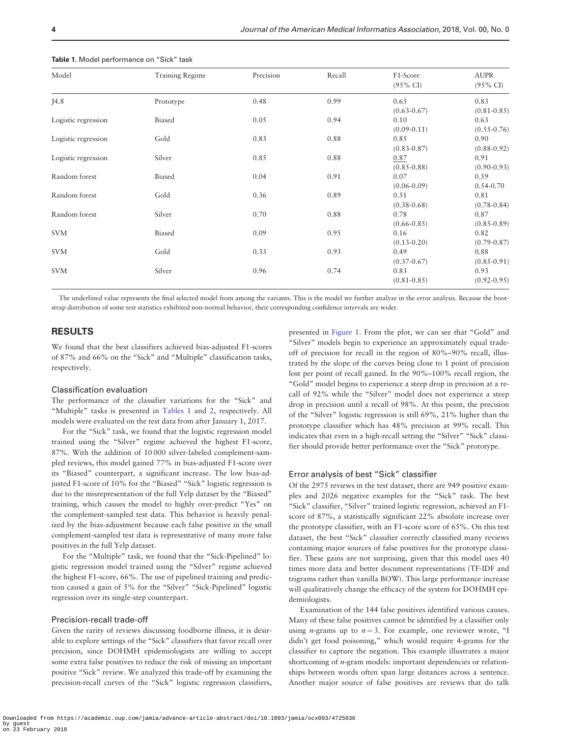| Model               | <b>Training Regime</b> | Precision | Recall | F1-Score<br>$(95\% \text{ CI})$ | <b>AUPR</b><br>$(95\% \text{ CI})$ |
|---------------------|------------------------|-----------|--------|---------------------------------|------------------------------------|
| I4.8                | Prototype              | 0.48      | 0.99   | 0.65                            | 0.83                               |
|                     |                        |           |        | $(0.63 - 0.67)$                 | $(0.81 - 0.85)$                    |
| Logistic regression | Biased                 | 0.05      | 0.94   | 0.10                            | 0.63                               |
|                     |                        |           |        | $(0.09 - 0.11)$                 | $(0.55 - 0.76)$                    |
| Logistic regression | Gold                   | 0.83      | 0.88   | 0.85                            | 0.90                               |
|                     |                        |           |        | $(0.83 - 0.87)$                 | $(0.88 - 0.92)$                    |
| Logistic regression | Silver                 | 0.85      | 0.88   | 0.87                            | 0.91                               |
|                     |                        |           |        | $(0.85 - 0.88)$                 | $(0.90 - 0.93)$                    |
| Random forest       | Biased                 | 0.04      | 0.91   | 0.07                            | 0.59                               |
|                     |                        |           |        | $(0.06 - 0.09)$                 | $0.54 - 0.70$                      |
| Random forest       | Gold                   | 0.36      | 0.89   | 0.51                            | 0.81                               |
|                     |                        |           |        | $(0.38 - 0.68)$                 | $(0.78 - 0.84)$                    |
| Random forest       | Silver                 | 0.70      | 0.88   | 0.78                            | 0.87                               |
|                     |                        |           |        | $(0.66 - 0.85)$                 | $(0.85 - 0.89)$                    |
| <b>SVM</b>          | Biased                 | 0.09      | 0.95   | 0.16                            | 0.82                               |
|                     |                        |           |        | $(0.13 - 0.20)$                 | $(0.79 - 0.87)$                    |
| <b>SVM</b>          | Gold                   | 0.33      | 0.93   | 0.49                            | 0.88                               |
|                     |                        |           |        | $(0.37 - 0.67)$                 | $(0.85 - 0.91)$                    |
| <b>SVM</b>          | Silver                 | 0.96      | 0.74   | 0.83                            | 0.93                               |
|                     |                        |           |        | $(0.81 - 0.85)$                 | $(0.92 - 0.95)$                    |

Table 1. Model performance on "Sick" task

The underlined value represents the final selected model from among the variants. This is the model we further analyze in the error analysis. Because the bootstrap distribution of some test statistics exhibited non-normal behavior, their corresponding confidence intervals are wider.

# RESULTS

We found that the best classifiers achieved bias-adjusted F1-scores of 87% and 66% on the "Sick" and "Multiple" classification tasks, respectively.

#### Classification evaluation

The performance of the classifier variations for the "Sick" and "Multiple" tasks is presented in Tables 1 and [2](#page-4-0), respectively. All models were evaluated on the test data from after January 1, 2017.

For the "Sick" task, we found that the logistic regression model trained using the "Silver" regime achieved the highest F1-score, 87%. With the addition of 10 000 silver-labeled complement-sampled reviews, this model gained 77% in bias-adjusted F1-score over its "Biased" counterpart, a significant increase. The low bias-adjusted F1-score of 10% for the "Biased" "Sick" logistic regression is due to the misrepresentation of the full Yelp dataset by the "Biased" training, which causes the model to highly over-predict "Yes" on the complement-sampled test data. This behavior is heavily penalized by the bias-adjustment because each false positive in the small complement-sampled test data is representative of many more false positives in the full Yelp dataset.

For the "Multiple" task, we found that the "Sick-Pipelined" logistic regression model trained using the "Silver" regime achieved the highest F1-score, 66%. The use of pipelined training and prediction caused a gain of 5% for the "Silver" "Sick-Pipelined" logistic regression over its single-step counterpart.

#### Precision-recall trade-off

Given the rarity of reviews discussing foodborne illness, it is desirable to explore settings of the "Sick" classifiers that favor recall over precision, since DOHMH epidemiologists are willing to accept some extra false positives to reduce the risk of missing an important positive "Sick" review. We analyzed this trade-off by examining the precision-recall curves of the "Sick" logistic regression classifiers,

presented in [Figure 1](#page-4-0). From the plot, we can see that "Gold" and "Silver" models begin to experience an approximately equal tradeoff of precision for recall in the region of 80%–90% recall, illustrated by the slope of the curves being close to 1 point of precision lost per point of recall gained. In the 90%–100% recall region, the "Gold" model begins to experience a steep drop in precision at a recall of 92% while the "Silver" model does not experience a steep drop in precision until a recall of 98%. At this point, the precision of the "Silver" logistic regression is still 69%, 21% higher than the prototype classifier which has 48% precision at 99% recall. This indicates that even in a high-recall setting the "Silver" "Sick" classifier should provide better performance over the "Sick" prototype.

## Error analysis of best "Sick" classifier

Of the 2975 reviews in the test dataset, there are 949 positive examples and 2026 negative examples for the "Sick" task. The best "Sick" classifier, "Silver" trained logistic regression, achieved an F1 score of 87%, a statistically significant 22% absolute increase over the prototype classifier, with an F1-score score of 65%. On this test dataset, the best "Sick" classifier correctly classified many reviews containing major sources of false positives for the prototype classifier. These gains are not surprising, given that this model uses 40 times more data and better document representations (TF-IDF and trigrams rather than vanilla BOW). This large performance increase will qualitatively change the efficacy of the system for DOHMH epidemiologists.

Examination of the 144 false positives identified various causes. Many of these false positives cannot be identified by a classifier only using *n*-grams up to  $n = 3$ . For example, one reviewer wrote, "I didn't get food poisoning," which would require 4-grams for the classifier to capture the negation. This example illustrates a major shortcoming of *n*-gram models: important dependencies or relationships between words often span large distances across a sentence. Another major source of false positives are reviews that do talk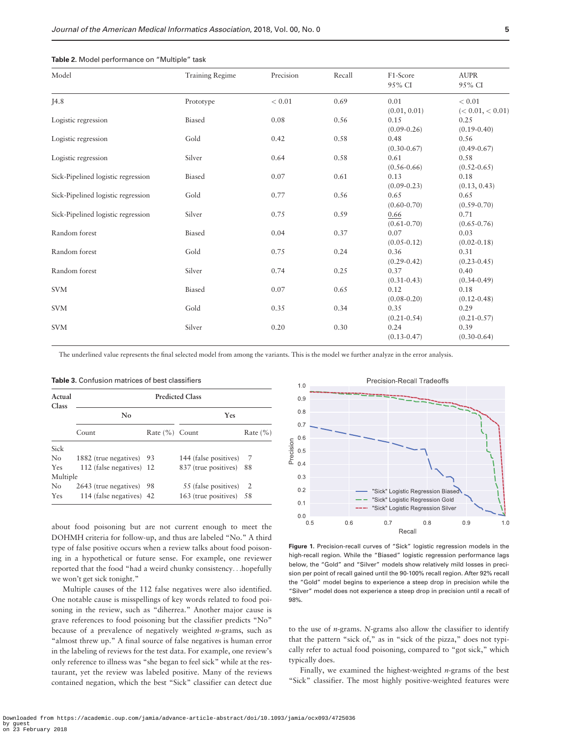| Model                              | <b>Training Regime</b> | Precision | Recall | F1-Score<br>95% CI      | <b>AUPR</b><br>95% CI      |
|------------------------------------|------------------------|-----------|--------|-------------------------|----------------------------|
| I4.8                               | Prototype              | < 0.01    | 0.69   | 0.01<br>(0.01, 0.01)    | < 0.01<br>(< 0.01, < 0.01) |
| Logistic regression                | Biased                 | 0.08      | 0.56   | 0.15<br>$(0.09 - 0.26)$ | 0.25<br>$(0.19 - 0.40)$    |
| Logistic regression                | Gold                   | 0.42      | 0.58   | 0.48<br>$(0.30 - 0.67)$ | 0.56<br>$(0.49 - 0.67)$    |
| Logistic regression                | Silver                 | 0.64      | 0.58   | 0.61<br>$(0.56 - 0.66)$ | 0.58<br>$(0.52 - 0.65)$    |
| Sick-Pipelined logistic regression | Biased                 | 0.07      | 0.61   | 0.13<br>$(0.09 - 0.23)$ | 0.18<br>(0.13, 0.43)       |
| Sick-Pipelined logistic regression | Gold                   | 0.77      | 0.56   | 0.65<br>$(0.60 - 0.70)$ | 0.65<br>$(0.59 - 0.70)$    |
| Sick-Pipelined logistic regression | Silver                 | 0.75      | 0.59   | 0.66<br>$(0.61 - 0.70)$ | 0.71<br>$(0.65 - 0.76)$    |
| Random forest                      | Biased                 | 0.04      | 0.37   | 0.07<br>$(0.05 - 0.12)$ | 0.03<br>$(0.02 - 0.18)$    |
| Random forest                      | Gold                   | 0.75      | 0.24   | 0.36<br>$(0.29 - 0.42)$ | 0.31<br>$(0.23 - 0.45)$    |
| Random forest                      | Silver                 | 0.74      | 0.25   | 0.37<br>$(0.31 - 0.43)$ | 0.40<br>$(0.34 - 0.49)$    |
| <b>SVM</b>                         | Biased                 | 0.07      | 0.65   | 0.12<br>$(0.08 - 0.20)$ | 0.18<br>$(0.12 - 0.48)$    |
| <b>SVM</b>                         | Gold                   | 0.35      | 0.34   | 0.35<br>$(0.21 - 0.54)$ | 0.29<br>$(0.21 - 0.57)$    |
| <b>SVM</b>                         | Silver                 | 0.20      | 0.30   | 0.24<br>$(0.13 - 0.47)$ | 0.39<br>$(0.30 - 0.64)$    |

<span id="page-4-0"></span>

|  |  |  |  |  |  | <b>Table 2.</b> Model performance on "Multiple" task |  |
|--|--|--|--|--|--|------------------------------------------------------|--|
|--|--|--|--|--|--|------------------------------------------------------|--|

The underlined value represents the final selected model from among the variants. This is the model we further analyze in the error analysis.

| <b>Table 3.</b> Confusion matrices of best classifiers |  |  |  |
|--------------------------------------------------------|--|--|--|
|--------------------------------------------------------|--|--|--|

| Actual<br>Class | <b>Predicted Class</b>   |                |                         |              |  |  |
|-----------------|--------------------------|----------------|-------------------------|--------------|--|--|
|                 | No                       |                | Yes                     |              |  |  |
|                 | Count                    | Rate (%) Count |                         | Rate $(\% )$ |  |  |
| Sick            |                          |                |                         |              |  |  |
| No.             | 1882 (true negatives) 93 |                | 144 (false positives)   | 7            |  |  |
| Yes             | 112 (false negatives) 12 |                | 837 (true positives) 88 |              |  |  |
| Multiple        |                          |                |                         |              |  |  |
| N <sub>0</sub>  | 2643 (true negatives)    | 98             | 55 (false positives)    | 2            |  |  |
| <b>Yes</b>      | 114 (false negatives) 42 |                | 163 (true positives) 58 |              |  |  |

about food poisoning but are not current enough to meet the DOHMH criteria for follow-up, and thus are labeled "No." A third type of false positive occurs when a review talks about food poisoning in a hypothetical or future sense. For example, one reviewer reported that the food "had a weird chunky consistency...hopefully we won't get sick tonight."

Multiple causes of the 112 false negatives were also identified. One notable cause is misspellings of key words related to food poisoning in the review, such as "diherrea." Another major cause is grave references to food poisoning but the classifier predicts "No" because of a prevalence of negatively weighted  $n$ -grams, such as "almost threw up." A final source of false negatives is human error in the labeling of reviews for the test data. For example, one review's only reference to illness was "she began to feel sick" while at the restaurant, yet the review was labeled positive. Many of the reviews contained negation, which the best "Sick" classifier can detect due



Figure 1. Precision-recall curves of "Sick" logistic regression models in the high-recall region. While the "Biased" logistic regression performance lags below, the "Gold" and "Silver" models show relatively mild losses in precision per point of recall gained until the 90-100% recall region. After 92% recall the "Gold" model begins to experience a steep drop in precision while the "Silver" model does not experience a steep drop in precision until a recall of 98%.

to the use of  $n$ -grams. N-grams also allow the classifier to identify that the pattern "sick of," as in "sick of the pizza," does not typically refer to actual food poisoning, compared to "got sick," which typically does.

Finally, we examined the highest-weighted  $n$ -grams of the best "Sick" classifier. The most highly positive-weighted features were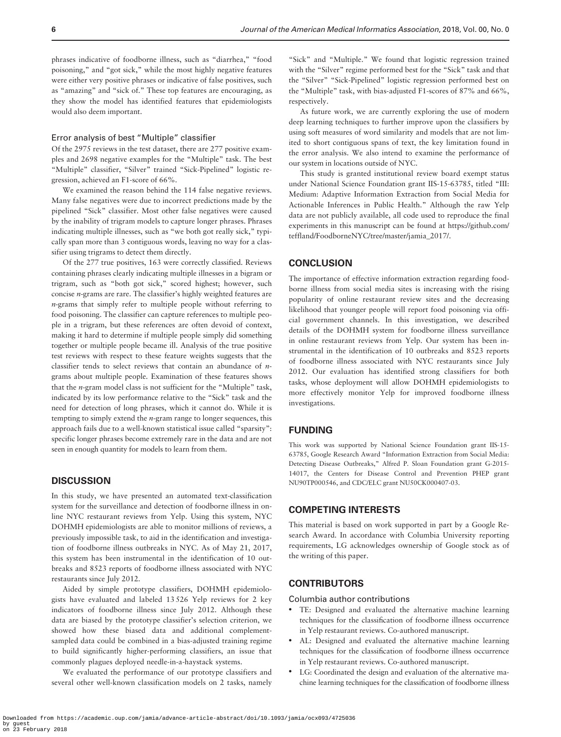phrases indicative of foodborne illness, such as "diarrhea," "food poisoning," and "got sick," while the most highly negative features were either very positive phrases or indicative of false positives, such as "amazing" and "sick of." These top features are encouraging, as they show the model has identified features that epidemiologists would also deem important.

## Error analysis of best "Multiple" classifier

Of the 2975 reviews in the test dataset, there are 277 positive examples and 2698 negative examples for the "Multiple" task. The best "Multiple" classifier, "Silver" trained "Sick-Pipelined" logistic regression, achieved an F1-score of 66%.

We examined the reason behind the 114 false negative reviews. Many false negatives were due to incorrect predictions made by the pipelined "Sick" classifier. Most other false negatives were caused by the inability of trigram models to capture longer phrases. Phrases indicating multiple illnesses, such as "we both got really sick," typically span more than 3 contiguous words, leaving no way for a classifier using trigrams to detect them directly.

Of the 277 true positives, 163 were correctly classified. Reviews containing phrases clearly indicating multiple illnesses in a bigram or trigram, such as "both got sick," scored highest; however, such concise n-grams are rare. The classifier's highly weighted features are n-grams that simply refer to multiple people without referring to food poisoning. The classifier can capture references to multiple people in a trigram, but these references are often devoid of context, making it hard to determine if multiple people simply did something together or multiple people became ill. Analysis of the true positive test reviews with respect to these feature weights suggests that the classifier tends to select reviews that contain an abundance of ngrams about multiple people. Examination of these features shows that the n-gram model class is not sufficient for the "Multiple" task, indicated by its low performance relative to the "Sick" task and the need for detection of long phrases, which it cannot do. While it is tempting to simply extend the  $n$ -gram range to longer sequences, this approach fails due to a well-known statistical issue called "sparsity": specific longer phrases become extremely rare in the data and are not seen in enough quantity for models to learn from them.

# **DISCUSSION**

In this study, we have presented an automated text-classification system for the surveillance and detection of foodborne illness in online NYC restaurant reviews from Yelp. Using this system, NYC DOHMH epidemiologists are able to monitor millions of reviews, a previously impossible task, to aid in the identification and investigation of foodborne illness outbreaks in NYC. As of May 21, 2017, this system has been instrumental in the identification of 10 outbreaks and 8523 reports of foodborne illness associated with NYC restaurants since July 2012.

Aided by simple prototype classifiers, DOHMH epidemiologists have evaluated and labeled 13 526 Yelp reviews for 2 key indicators of foodborne illness since July 2012. Although these data are biased by the prototype classifier's selection criterion, we showed how these biased data and additional complementsampled data could be combined in a bias-adjusted training regime to build significantly higher-performing classifiers, an issue that commonly plagues deployed needle-in-a-haystack systems.

We evaluated the performance of our prototype classifiers and several other well-known classification models on 2 tasks, namely

"Sick" and "Multiple." We found that logistic regression trained with the "Silver" regime performed best for the "Sick" task and that the "Silver" "Sick-Pipelined" logistic regression performed best on the "Multiple" task, with bias-adjusted F1-scores of 87% and 66%, respectively.

As future work, we are currently exploring the use of modern deep learning techniques to further improve upon the classifiers by using soft measures of word similarity and models that are not limited to short contiguous spans of text, the key limitation found in the error analysis. We also intend to examine the performance of our system in locations outside of NYC.

This study is granted institutional review board exempt status under National Science Foundation grant IIS-15-63785, titled "III: Medium: Adaptive Information Extraction from Social Media for Actionable Inferences in Public Health." Although the raw Yelp data are not publicly available, all code used to reproduce the final experiments in this manuscript can be found at [https://github.com/](https://github.com/teffland/FoodborneNYC/tree/master/jamia_2017/official) [teffland/FoodborneNYC/tree/master/jamia\\_2017/.](https://github.com/teffland/FoodborneNYC/tree/master/jamia_2017/official)

#### **CONCLUSION**

The importance of effective information extraction regarding foodborne illness from social media sites is increasing with the rising popularity of online restaurant review sites and the decreasing likelihood that younger people will report food poisoning via official government channels. In this investigation, we described details of the DOHMH system for foodborne illness surveillance in online restaurant reviews from Yelp. Our system has been instrumental in the identification of 10 outbreaks and 8523 reports of foodborne illness associated with NYC restaurants since July 2012. Our evaluation has identified strong classifiers for both tasks, whose deployment will allow DOHMH epidemiologists to more effectively monitor Yelp for improved foodborne illness investigations.

## FUNDING

This work was supported by National Science Foundation grant IIS-15- 63785, Google Research Award "Information Extraction from Social Media: Detecting Disease Outbreaks," Alfred P. Sloan Foundation grant G-2015- 14017, the Centers for Disease Control and Prevention PHEP grant NU90TP000546, and CDC/ELC grant NU50CK000407-03.

### COMPETING INTERESTS

This material is based on work supported in part by a Google Research Award. In accordance with Columbia University reporting requirements, LG acknowledges ownership of Google stock as of the writing of this paper.

## **CONTRIBUTORS**

## Columbia author contributions

- TE: Designed and evaluated the alternative machine learning techniques for the classification of foodborne illness occurrence in Yelp restaurant reviews. Co-authored manuscript.
- AL: Designed and evaluated the alternative machine learning techniques for the classification of foodborne illness occurrence in Yelp restaurant reviews. Co-authored manuscript.
- LG: Coordinated the design and evaluation of the alternative machine learning techniques for the classification of foodborne illness